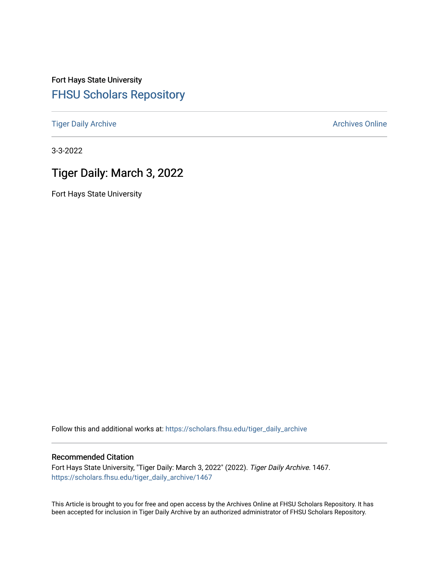# Fort Hays State University [FHSU Scholars Repository](https://scholars.fhsu.edu/)

[Tiger Daily Archive](https://scholars.fhsu.edu/tiger_daily_archive) **Archives** Online Archives Online

3-3-2022

# Tiger Daily: March 3, 2022

Fort Hays State University

Follow this and additional works at: [https://scholars.fhsu.edu/tiger\\_daily\\_archive](https://scholars.fhsu.edu/tiger_daily_archive?utm_source=scholars.fhsu.edu%2Ftiger_daily_archive%2F1467&utm_medium=PDF&utm_campaign=PDFCoverPages)

### Recommended Citation

Fort Hays State University, "Tiger Daily: March 3, 2022" (2022). Tiger Daily Archive. 1467. [https://scholars.fhsu.edu/tiger\\_daily\\_archive/1467](https://scholars.fhsu.edu/tiger_daily_archive/1467?utm_source=scholars.fhsu.edu%2Ftiger_daily_archive%2F1467&utm_medium=PDF&utm_campaign=PDFCoverPages)

This Article is brought to you for free and open access by the Archives Online at FHSU Scholars Repository. It has been accepted for inclusion in Tiger Daily Archive by an authorized administrator of FHSU Scholars Repository.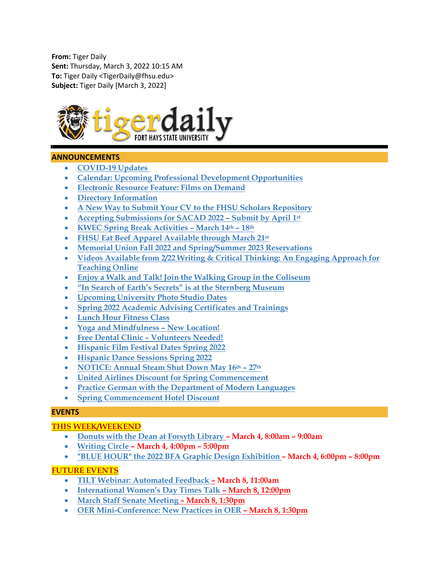**From:** Tiger Daily **Sent:** Thursday, March 3, 2022 10:15 AM **To:** Tiger Daily <TigerDaily@fhsu.edu> **Subject:** Tiger Daily [March 3, 2022]



# **ANNOUNCEMENTS**

- **[COVID-19 Updates](#page-2-0)**
- **[Calendar: Upcoming Professional Development Opportunities](#page-2-1)**
- **[Electronic Resource Feature: Films on Demand](#page-2-2)**
- **[Directory Information](#page-3-0)**
- **[A New Way to Submit Your CV to the FHSU Scholars Repository](#page-3-1)**
- **[Accepting Submissions for SACAD 2022 –](#page-3-2) Submit by April 1st**
- **[KWEC Spring Break Activities –](#page-4-0) March 14th – 18th**
- **[FHSU Eat Beef Apparel Available through March 21st](#page-5-0)**
- **[Memorial Union Fall 2022 and Spring/Summer 2023 Reservations](#page-5-1)**
- **Videos Available from 2/22 [Writing & Critical Thinking: An Engaging Approach for](#page-5-2)  [Teaching Online](#page-5-2)**
- **[Enjoy a Walk and Talk! Join the Walking Group in the Coliseum](#page-5-3)**
- **["In Search of Earth's Secrets" is at the Sternberg Museum](#page-5-4)**
- **[Upcoming University Photo Studio Dates](#page-6-0)**
- **[Spring 2022 Academic Advising Certificates and Trainings](#page-6-1)**
- **[Lunch Hour Fitness Class](#page-7-0)**
- **[Yoga and Mindfulness –](#page-7-1) New Location!**
- **Free Dental Clinic – [Volunteers Needed!](#page-7-2)**
- **[Hispanic Film Festival Dates Spring 2022](#page-8-0)**
- **[Hispanic Dance Sessions](#page-8-1) Spring 2022**
- **[NOTICE: Annual Steam Shut Down May 16th](#page-9-0) – 27th**
- **[United Airlines Discount for Spring Commencement](#page-9-1)**
- **[Practice German with the Department of Modern Languages](#page-10-0)**
- **[Spring Commencement Hotel Discount](#page-10-1)**

### **EVENTS**

### **THIS WEEK/WEEKEND**

- **[Donuts with the Dean at Forsyth Library](#page-10-2) – March 4, 8:00am – 9:00am**
- **[Writing Circle](#page-10-3) – March 4, 4:00pm – 5:00pm**
- **"BLUE HOUR" the 2022 [BFA Graphic Design Exhibition](#page-11-0) – March 4, 6:00pm – 8:00pm**

# **FUTURE EVENTS**

- **[TILT Webinar: Automated Feedback](#page-11-1) – March 8, 11:00am**
- **[International Women's Day Times Talk](#page-11-2) – March 8, 12:00pm**
- **[March Staff Senate Meeting](#page-12-0) – March 8, 1:30pm**
- **[OER Mini-Conference: New Practices in OER](#page-12-1) – March 8, 1:30pm**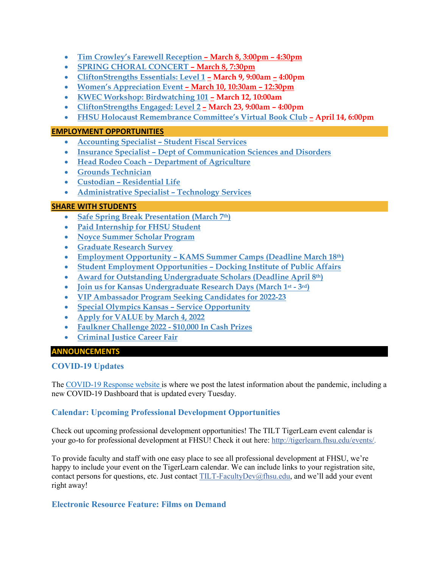- **[Tim Crowley's Farewell Reception](#page-12-2) – March 8, 3:00pm – 4:30pm**
- **[SPRING CHORAL CONCERT](#page-12-3) – March 8, 7:30pm**
- **[CliftonStrengths Essentials: Level 1](#page-13-0) – March 9, 9:00am – 4:00pm**
- **[Women's Appreciation Event](#page-13-1) – March 10, 10:30am – 12:30pm**
- **[KWEC Workshop: Birdwatching 101](#page-13-2) – March 12, 10:00am**
- **[CliftonStrengths Engaged: Level 2](#page-13-3) – March 23, 9:00am – 4:00pm**
- **[FHSU Holocaust Remembrance Committee's Virtual Book Club](#page-14-0) – April 14, 6:00pm**

### **EMPLOYMENT OPPORTUNITIES**

- **[Accounting Specialist –](#page-14-1) Student Fiscal Services**
- **Insurance Specialist – [Dept of Communication Sciences and Disorders](#page-14-2)**
- **Head Rodeo Coach – [Department of Agriculture](#page-15-0)**
- **[Grounds Technician](#page-15-1)**
- **Custodian – [Residential Life](#page-16-0)**
- **[Administrative Specialist –](#page-16-1) Technology Services**

# **SHARE WITH STUDENTS**

- **[Safe Spring Break Presentation \(March 7th\)](#page-16-2)**
- **[Paid Internship for FHSU Student](#page-16-3)**
- **[Noyce Summer Scholar Program](#page-17-0)**
- **[Graduate Research Survey](#page-17-1)**
- **Employment Opportunity – [KAMS Summer Camps \(Deadline March 18th\)](#page-18-0)**
- **[Student Employment Opportunities –](#page-18-1) Docking Institute of Public Affairs**
- **[Award for Outstanding Undergraduate Scholars \(Deadline April 8th\)](#page-19-0)**
- **[Join us for Kansas Undergraduate Research Days \(March 1st](#page-19-1) - 3rd)**
- **[VIP Ambassador Program Seeking Candidates for 2022-23](#page-19-2)**
- **[Special Olympics Kansas –](#page-20-0) Service Opportunity**
- **[Apply for VALUE by March 4, 2022](#page-20-1)**
- **[Faulkner Challenge 2022 -](#page-21-0) \$10,000 In Cash Prizes**
- <span id="page-2-0"></span>• **[Criminal Justice Career Fair](#page-21-1)**

# **ANNOUNCEMENTS**

# **COVID-19 Updates**

The [COVID-19 Response website](https://www.fhsu.edu/covid-19-response/index) is where we post the latest information about the pandemic, including a new COVID-19 Dashboard that is updated every Tuesday.

# <span id="page-2-1"></span>**Calendar: Upcoming Professional Development Opportunities**

Check out upcoming professional development opportunities! The TILT TigerLearn event calendar is your go-to for professional development at FHSU! Check it out here: [http://tigerlearn.fhsu.edu/events/.](http://tigerlearn.fhsu.edu/events/)

To provide faculty and staff with one easy place to see all professional development at FHSU, we're happy to include your event on the TigerLearn calendar. We can include links to your registration site, contact persons for questions, etc. Just contact [TILT-FacultyDev@fhsu.edu,](mailto:TILT-FacultyDev@fhsu.edu) and we'll add your event right away!

# <span id="page-2-2"></span>**Electronic Resource Feature: Films on Demand**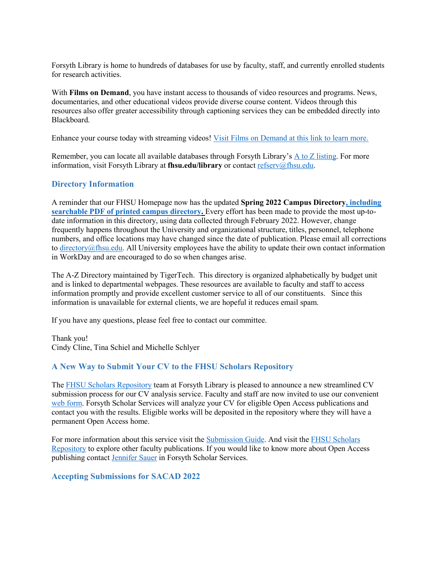Forsyth Library is home to hundreds of databases for use by faculty, staff, and currently enrolled students for research activities.

With **Films on Demand**, you have instant access to thousands of video resources and programs. News, documentaries, and other educational videos provide diverse course content. Videos through this resources also offer greater accessibility through captioning services they can be embedded directly into Blackboard.

Enhance your course today with streaming videos[! Visit Films on Demand at this link to learn more.](https://digital.films.com/nd_Home.aspx)

Remember, you can locate all available databases through Forsyth Library's [A to Z listing.](https://fhsuguides.fhsu.edu/az.php) For more information, visit Forsyth Library at **fhsu.edu/library** or contact [refserv@fhsu.edu.](mailto:refserv@fhsu.edu)

#### <span id="page-3-0"></span>**Directory Information**

A reminder that our FHSU Homepage now has the updated **Spring 2022 Campus Director[y, including](https://www.fhsu.edu/directory/)  [searchable PDF of printed campus directory.](https://www.fhsu.edu/directory/)** Every effort has been made to provide the most up-todate information in this directory, using data collected through February 2022. However, change frequently happens throughout the University and organizational structure, titles, personnel, telephone numbers, and office locations may have changed since the date of publication. Please email all corrections to [directory@fhsu.edu.](mailto:directory@fhsu.edu) All University employees have the ability to update their own contact information in WorkDay and are encouraged to do so when changes arise.

The A-Z Directory maintained by TigerTech. This directory is organized alphabetically by budget unit and is linked to departmental webpages. These resources are available to faculty and staff to access information promptly and provide excellent customer service to all of our constituents. Since this information is unavailable for external clients, we are hopeful it reduces email spam.

If you have any questions, please feel free to contact our committee.

Thank you! Cindy Cline, Tina Schiel and Michelle Schlyer

### <span id="page-3-1"></span>**A New Way to Submit Your CV to the FHSU Scholars Repository**

The [FHSU Scholars Repository](https://scholars.fhsu.edu/) team at Forsyth Library is pleased to announce a new streamlined CV submission process for our CV analysis service. Faculty and staff are now invited to use our convenient [web form.](https://fhsu.libwizard.com/f/Scholars_CV) Forsyth Scholar Services will analyze your CV for eligible Open Access publications and contact you with the results. Eligible works will be deposited in the repository where they will have a permanent Open Access home.

For more information about this service visit th[e Submission Guide.](https://fhsuguides.fhsu.edu/fhsuscholarsrepository/faculty) And visit th[e FHSU Scholars](https://scholars.fhsu.edu/)  [Repository](https://scholars.fhsu.edu/) to explore other faculty publications. If you would like to know more about Open Access publishing contac[t Jennifer Sauer](mailto:jsauer@fhsu.edu) in Forsyth Scholar Services.

#### <span id="page-3-2"></span>**Accepting Submissions for SACAD 2022**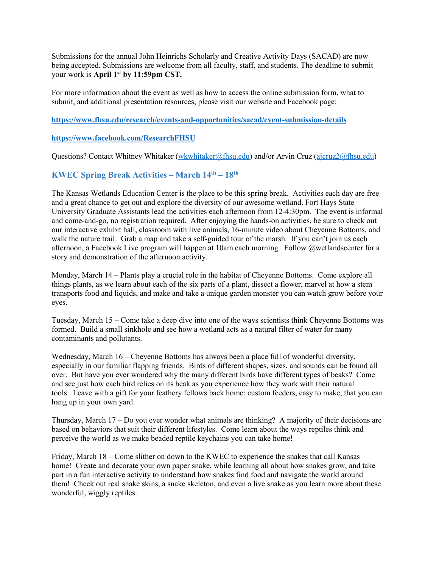Submissions for the annual John Heinrichs Scholarly and Creative Activity Days (SACAD) are now being accepted. Submissions are welcome from all faculty, staff, and students. The deadline to submit your work is **April 1st by 11:59pm CST.**

For more information about the event as well as how to access the online submission form, what to submit, and additional presentation resources, please visit our website and Facebook page:

**<https://www.fhsu.edu/research/events-and-opportunities/sacad/event-submission-details>**

### **<https://www.facebook.com/ResearchFHSU>**

Questions? Contact Whitney Whitaker [\(wkwhitaker@fhsu.edu\)](mailto:wkwhitaker@fhsu.edu) and/or Arvin Cruz [\(ajcruz2@fhsu.edu\)](mailto:ajcruz2@fhsu.edu)

# <span id="page-4-0"></span>**KWEC Spring Break Activities – March 14th – 18th**

The Kansas Wetlands Education Center is the place to be this spring break. Activities each day are free and a great chance to get out and explore the diversity of our awesome wetland. Fort Hays State University Graduate Assistants lead the activities each afternoon from 12-4:30pm. The event is informal and come-and-go, no registration required. After enjoying the hands-on activities, be sure to check out our interactive exhibit hall, classroom with live animals, 16-minute video about Cheyenne Bottoms, and walk the nature trail. Grab a map and take a self-guided tour of the marsh. If you can't join us each afternoon, a Facebook Live program will happen at 10am each morning. Follow @wetlandscenter for a story and demonstration of the afternoon activity.

Monday, March 14 – Plants play a crucial role in the habitat of Cheyenne Bottoms. Come explore all things plants, as we learn about each of the six parts of a plant, dissect a flower, marvel at how a stem transports food and liquids, and make and take a unique garden monster you can watch grow before your eyes.

Tuesday, March 15 – Come take a deep dive into one of the ways scientists think Cheyenne Bottoms was formed. Build a small sinkhole and see how a wetland acts as a natural filter of water for many contaminants and pollutants.

Wednesday, March 16 – Cheyenne Bottoms has always been a place full of wonderful diversity, especially in our familiar flapping friends. Birds of different shapes, sizes, and sounds can be found all over. But have you ever wondered why the many different birds have different types of beaks? Come and see just how each bird relies on its beak as you experience how they work with their natural tools. Leave with a gift for your feathery fellows back home: custom feeders, easy to make, that you can hang up in your own yard.

Thursday, March  $17 - Do$  you ever wonder what animals are thinking? A majority of their decisions are based on behaviors that suit their different lifestyles. Come learn about the ways reptiles think and perceive the world as we make beaded reptile keychains you can take home!

Friday, March 18 – Come slither on down to the KWEC to experience the snakes that call Kansas home! Create and decorate your own paper snake, while learning all about how snakes grow, and take part in a fun interactive activity to understand how snakes find food and navigate the world around them! Check out real snake skins, a snake skeleton, and even a live snake as you learn more about these wonderful, wiggly reptiles.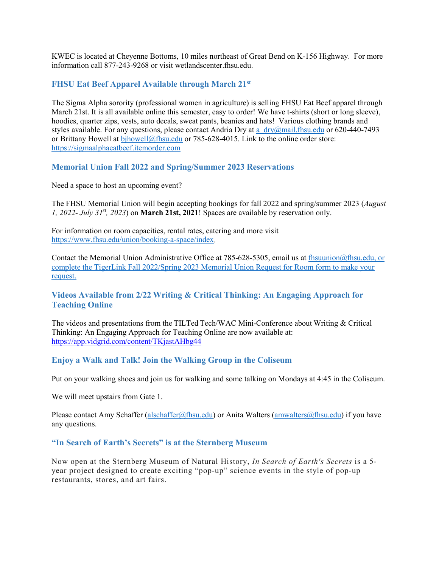KWEC is located at Cheyenne Bottoms, 10 miles northeast of Great Bend on K-156 Highway. For more information call 877-243-9268 or visit wetlandscenter.fhsu.edu.

# <span id="page-5-0"></span>**FHSU Eat Beef Apparel Available through March 21st**

The Sigma Alpha sorority (professional women in agriculture) is selling FHSU Eat Beef apparel through March 21st. It is all available online this semester, easy to order! We have t-shirts (short or long sleeve), hoodies, quarter zips, vests, auto decals, sweat pants, beanies and hats! Various clothing brands and styles available. For any questions, please contact Andria Dry at [a\\_dry@mail.fhsu.edu](mailto:a_dry@mail.fhsu.edu) or 620-440-7493 or Brittany Howell at [bjhowell@fhsu.edu](mailto:bjhowell@fhsu.edu) or 785-628-4015. Link to the online order store: [https://sigmaalphaeatbeef.itemorder.com](https://sigmaalphaeatbeef.itemorder.com/)

# <span id="page-5-1"></span>**Memorial Union Fall 2022 and Spring/Summer 2023 Reservations**

Need a space to host an upcoming event?

The FHSU Memorial Union will begin accepting bookings for fall 2022 and spring/summer 2023 (*August 1, 2022- July 31st, 2023*) on **March 21st, 2021**! Spaces are available by reservation only.

For information on room capacities, rental rates, catering and more visit [https://www.fhsu.edu/union/booking-a-space/index.](https://www.fhsu.edu/union/booking-a-space/index)

Contact the Memorial Union Administrative Office at 785-628-5305, email us at [fhsuunion@fhsu.edu,](mailto:fhsuunion@fhsu.edu) or complete the TigerLin[k Fall 2022/Spring 2023 Memorial Union Request for Room](https://tigerlink.fhsu.edu/submitter/form/start/525502) form to make your request.

# <span id="page-5-2"></span>**Videos Available from 2/22 Writing & Critical Thinking: An Engaging Approach for Teaching Online**

The videos and presentations from the TILTed Tech/WAC Mini-Conference about Writing & Critical Thinking: An Engaging Approach for Teaching Online are now available at: <https://app.vidgrid.com/content/TKjastAHbg44>

# <span id="page-5-3"></span>**Enjoy a Walk and Talk! Join the Walking Group in the Coliseum**

Put on your walking shoes and join us for walking and some talking on Mondays at 4:45 in the Coliseum.

We will meet upstairs from Gate 1.

Please contact Amy Schaffer [\(alschaffer@fhsu.edu\)](mailto:alschaffer@fhsu.edu) or Anita Walters [\(amwalters@fhsu.edu\)](mailto:amwalters@fhsu.edu) if you have any questions.

# <span id="page-5-4"></span>**"In Search of Earth's Secrets" is at the Sternberg Museum**

Now open at the Sternberg Museum of Natural History, *In Search of Earth's Secrets* is a 5 year project designed to create exciting "pop-up" science events in the style of pop-up restaurants, stores, and art fairs.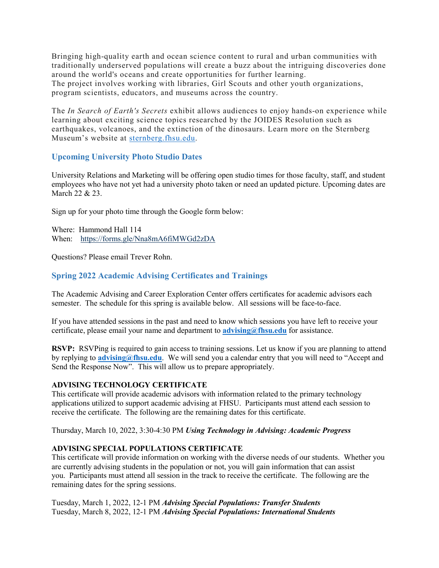Bringing high-quality earth and ocean science content to rural and urban communities with traditionally underserved populations will create a buzz about the intriguing discoveries done around the world's oceans and create opportunities for further learning. The project involves working with libraries, Girl Scouts and other youth organizations, program scientists, educators, and museums across the country.

The *In Search of Earth's Secrets* exhibit allows audiences to enjoy hands-on experience while learning about exciting science topics researched by the JOIDES Resolution such as earthquakes, volcanoes, and the extinction of the dinosaurs. Learn more on the Sternberg Museum's website at [sternberg.fhsu.edu.](https://sternberg.fhsu.edu/explore-exhibits/index.html)

# <span id="page-6-0"></span>**Upcoming University Photo Studio Dates**

University Relations and Marketing will be offering open studio times for those faculty, staff, and student employees who have not yet had a university photo taken or need an updated picture. Upcoming dates are March 22 & 23.

Sign up for your photo time through the Google form below:

Where: Hammond Hall 114 When: <https://forms.gle/Nna8mA6fiMWGd2zDA>

Questions? Please email Trever Rohn.

# <span id="page-6-1"></span>**Spring 2022 Academic Advising Certificates and Trainings**

The Academic Advising and Career Exploration Center offers certificates for academic advisors each semester. The schedule for this spring is available below. All sessions will be face-to-face.

If you have attended sessions in the past and need to know which sessions you have left to receive your certificate, please email your name and department to **[advising@fhsu.edu](mailto:advising@fhsu.edu)** for assistance.

**RSVP:** RSVPing is required to gain access to training sessions. Let us know if you are planning to attend by replying to **[advising@fhsu.edu](mailto:advising@fhsu.edu)**. We will send you a calendar entry that you will need to "Accept and Send the Response Now". This will allow us to prepare appropriately.

# **ADVISING TECHNOLOGY CERTIFICATE**

This certificate will provide academic advisors with information related to the primary technology applications utilized to support academic advising at FHSU. Participants must attend each session to receive the certificate. The following are the remaining dates for this certificate.

Thursday, March 10, 2022, 3:30-4:30 PM *Using Technology in Advising: Academic Progress*

### **ADVISING SPECIAL POPULATIONS CERTIFICATE**

This certificate will provide information on working with the diverse needs of our students. Whether you are currently advising students in the population or not, you will gain information that can assist you. Participants must attend all session in the track to receive the certificate. The following are the remaining dates for the spring sessions.

Tuesday, March 1, 2022, 12-1 PM *Advising Special Populations: Transfer Students* Tuesday, March 8, 2022, 12-1 PM *Advising Special Populations: International Students*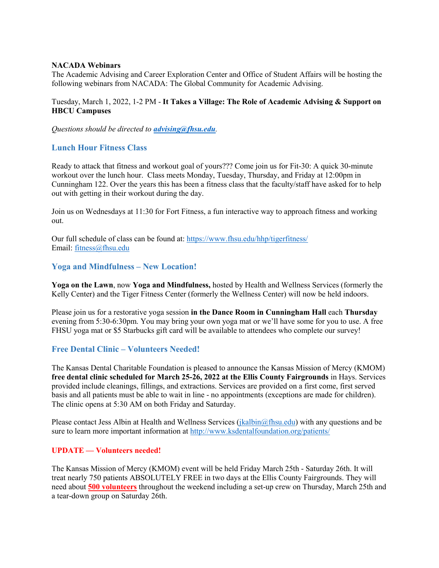### **NACADA Webinars**

The Academic Advising and Career Exploration Center and Office of Student Affairs will be hosting the following webinars from NACADA: The Global Community for Academic Advising.

### Tuesday, March 1, 2022, 1-2 PM - **It Takes a Village: The Role of Academic Advising & Support on HBCU Campuses**

*Questions should be directed to [advising@fhsu.edu](mailto:advising@fhsu.edu).*

# <span id="page-7-0"></span>**Lunch Hour Fitness Class**

Ready to attack that fitness and workout goal of yours??? Come join us for Fit-30: A quick 30-minute workout over the lunch hour. Class meets Monday, Tuesday, Thursday, and Friday at 12:00pm in Cunningham 122. Over the years this has been a fitness class that the faculty/staff have asked for to help out with getting in their workout during the day.

Join us on Wednesdays at 11:30 for Fort Fitness, a fun interactive way to approach fitness and working out.

Our full schedule of class can be found at:<https://www.fhsu.edu/hhp/tigerfitness/> Email: [fitness@fhsu.edu](mailto:fitness@fhsu.edu)

### <span id="page-7-1"></span>**Yoga and Mindfulness – New Location!**

**Yoga on the Lawn**, now **Yoga and Mindfulness,** hosted by Health and Wellness Services (formerly the Kelly Center) and the Tiger Fitness Center (formerly the Wellness Center) will now be held indoors.

Please join us for a restorative yoga session **in the Dance Room in Cunningham Hall** each **Thursday** evening from 5:30-6:30pm. You may bring your own yoga mat or we'll have some for you to use. A free FHSU yoga mat or \$5 Starbucks gift card will be available to attendees who complete our survey!

# <span id="page-7-2"></span>**Free Dental Clinic – Volunteers Needed!**

The Kansas Dental Charitable Foundation is pleased to announce the Kansas Mission of Mercy (KMOM) **free dental clinic scheduled for March 25-26, 2022 at the Ellis County Fairgrounds** in Hays. Services provided include cleanings, fillings, and extractions. Services are provided on a first come, first served basis and all patients must be able to wait in line - no appointments (exceptions are made for children). The clinic opens at 5:30 AM on both Friday and Saturday.

Please contact Jess Albin at Health and Wellness Services [\(jkalbin@fhsu.edu\)](mailto:jkalbin@fhsu.edu) with any questions and be sure to learn more important information at<http://www.ksdentalfoundation.org/patients/>

### **UPDATE — Volunteers needed!**

The Kansas Mission of Mercy (KMOM) event will be held Friday March 25th - Saturday 26th. It will treat nearly 750 patients ABSOLUTELY FREE in two days at the Ellis County Fairgrounds. They will need about **500 volunteers** throughout the weekend including a set-up crew on Thursday, March 25th and a tear-down group on Saturday 26th.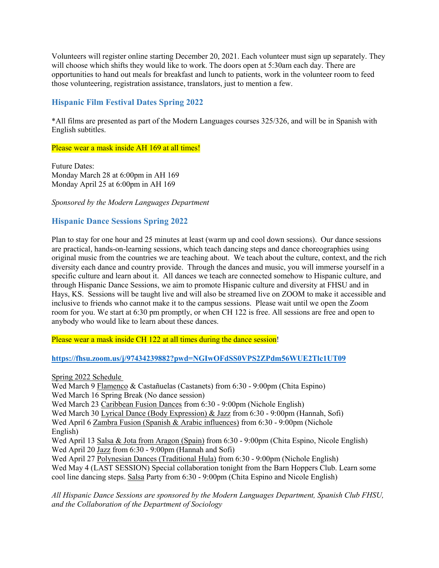Volunteers will register online starting December 20, 2021. Each volunteer must sign up separately. They will choose which shifts they would like to work. The doors open at 5:30am each day. There are opportunities to hand out meals for breakfast and lunch to patients, work in the volunteer room to feed those volunteering, registration assistance, translators, just to mention a few.

# <span id="page-8-0"></span>**Hispanic Film Festival Dates Spring 2022**

\*All films are presented as part of the Modern Languages courses 325/326, and will be in Spanish with English subtitles.

Please wear a mask inside AH 169 at all times!

Future Dates: Monday March 28 at 6:00pm in AH 169 Monday April 25 at 6:00pm in AH 169

*Sponsored by the Modern Languages Department* 

# <span id="page-8-1"></span>**Hispanic Dance Sessions Spring 2022**

Plan to stay for one hour and 25 minutes at least (warm up and cool down sessions). Our dance sessions are practical, hands-on-learning sessions, which teach dancing steps and dance choreographies using original music from the countries we are teaching about. We teach about the culture, context, and the rich diversity each dance and country provide. Through the dances and music, you will immerse yourself in a specific culture and learn about it. All dances we teach are connected somehow to Hispanic culture, and through Hispanic Dance Sessions, we aim to promote Hispanic culture and diversity at FHSU and in Hays, KS. Sessions will be taught live and will also be streamed live on ZOOM to make it accessible and inclusive to friends who cannot make it to the campus sessions. Please wait until we open the Zoom room for you. We start at 6:30 pm promptly, or when CH 122 is free. All sessions are free and open to anybody who would like to learn about these dances.

Please wear a mask inside CH 122 at all times during the dance session!

**<https://fhsu.zoom.us/j/97434239882?pwd=NGIwOFdSS0VPS2ZPdm56WUE2Tlc1UT09>**

Spring 2022 Schedule

Wed March 9 Flamenco & Castañuelas (Castanets) from 6:30 - 9:00pm (Chita Espino) Wed March 16 Spring Break (No dance session) Wed March 23 Caribbean Fusion Dances from 6:30 - 9:00pm (Nichole English) Wed March 30 Lyrical Dance (Body Expression) & Jazz from 6:30 - 9:00pm (Hannah, Sofi)

Wed April 6 Zambra Fusion (Spanish & Arabic influences) from 6:30 - 9:00pm (Nichole English)

Wed April 13 Salsa & Jota from Aragon (Spain) from 6:30 - 9:00pm (Chita Espino, Nicole English) Wed April 20 Jazz from 6:30 - 9:00pm (Hannah and Sofi)

Wed April 27 Polynesian Dances (Traditional Hula) from 6:30 - 9:00pm (Nichole English)

Wed May 4 (LAST SESSION) Special collaboration tonight from the Barn Hoppers Club. Learn some cool line dancing steps. Salsa Party from 6:30 - 9:00pm (Chita Espino and Nicole English)

*All Hispanic Dance Sessions are sponsored by the Modern Languages Department, Spanish Club FHSU, and the Collaboration of the Department of Sociology*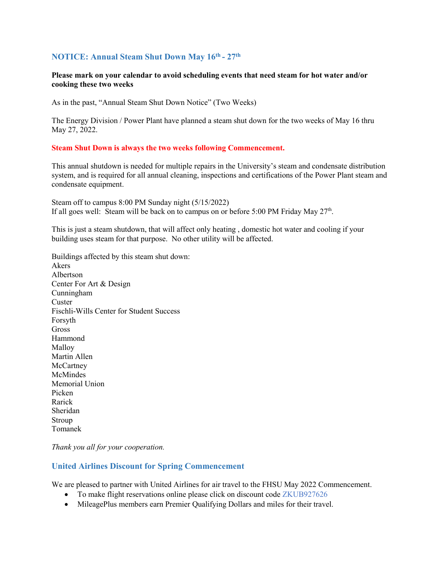# <span id="page-9-0"></span>**NOTICE: Annual Steam Shut Down May 16th - 27th**

### **Please mark on your calendar to avoid scheduling events that need steam for hot water and/or cooking these two weeks**

As in the past, "Annual Steam Shut Down Notice" (Two Weeks)

The Energy Division / Power Plant have planned a steam shut down for the two weeks of May 16 thru May 27, 2022.

#### **Steam Shut Down is always the two weeks following Commencement.**

This annual shutdown is needed for multiple repairs in the University's steam and condensate distribution system, and is required for all annual cleaning, inspections and certifications of the Power Plant steam and condensate equipment.

Steam off to campus 8:00 PM Sunday night (5/15/2022) If all goes well: Steam will be back on to campus on or before 5:00 PM Friday May  $27<sup>th</sup>$ .

This is just a steam shutdown, that will affect only heating , domestic hot water and cooling if your building uses steam for that purpose. No other utility will be affected.

Buildings affected by this steam shut down:

Akers Albertson Center For Art & Design Cunningham Custer Fischli-Wills Center for Student Success Forsyth **Gross** Hammond Malloy Martin Allen **McCartney** McMindes Memorial Union Picken Rarick Sheridan Stroup Tomanek

*Thank you all for your cooperation.*

### <span id="page-9-1"></span>**United Airlines Discount for Spring Commencement**

We are pleased to partner with United Airlines for air travel to the FHSU May 2022 Commencement.

- To make flight reservations online please click on discount code ZKUB927626
- MileagePlus members earn Premier Qualifying Dollars and miles for their travel.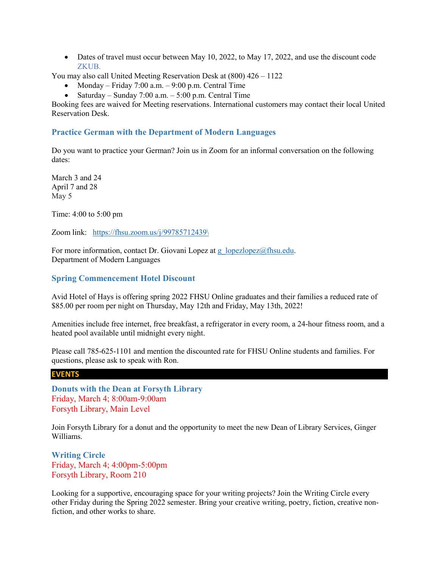• Dates of travel must occur between May 10, 2022, to May 17, 2022, and use the discount code ZKUB.

You may also call United Meeting Reservation Desk at (800) 426 – 1122

- Monday Friday 7:00 a.m. 9:00 p.m. Central Time
- Saturday Sunday 7:00 a.m. 5:00 p.m. Central Time

Booking fees are waived for Meeting reservations. International customers may contact their local United Reservation Desk.

### <span id="page-10-0"></span>**Practice German with the Department of Modern Languages**

Do you want to practice your German? Join us in Zoom for an informal conversation on the following dates:

March 3 and 24 April 7 and 28 May 5

Time: 4:00 to 5:00 pm

Zoom link: [https://fhsu.zoom.us/j/99785712439\](https://fhsu.zoom.us/j/99785712439/)

For more information, contact Dr. Giovani Lopez at g\_lopezlopez $@$ fhsu.edu. Department of Modern Languages

### <span id="page-10-1"></span>**Spring Commencement Hotel Discount**

Avid Hotel of Hays is offering spring 2022 FHSU Online graduates and their families a reduced rate of \$85.00 per room per night on Thursday, May 12th and Friday, May 13th, 2022!

Amenities include free internet, free breakfast, a refrigerator in every room, a 24-hour fitness room, and a heated pool available until midnight every night.

Please call 785-625-1101 and mention the discounted rate for FHSU Online students and families. For questions, please ask to speak with Ron.

# **EVENTS**

<span id="page-10-2"></span>**Donuts with the Dean at Forsyth Library** Friday, March 4; 8:00am-9:00am Forsyth Library, Main Level

Join Forsyth Library for a donut and the opportunity to meet the new Dean of Library Services, Ginger Williams.

<span id="page-10-3"></span>**Writing Circle** Friday, March 4; 4:00pm-5:00pm Forsyth Library, Room 210

Looking for a supportive, encouraging space for your writing projects? Join the Writing Circle every other Friday during the Spring 2022 semester. Bring your creative writing, poetry, fiction, creative nonfiction, and other works to share.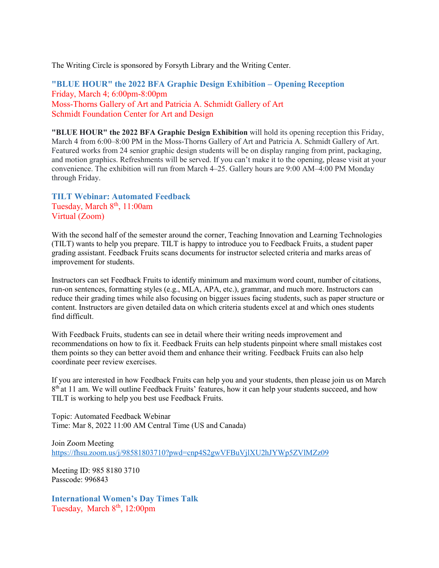The Writing Circle is sponsored by Forsyth Library and the Writing Center.

<span id="page-11-0"></span>**"BLUE HOUR" the 2022 BFA Graphic Design Exhibition – Opening Reception** Friday, March 4; 6:00pm-8:00pm Moss-Thorns Gallery of Art and Patricia A. Schmidt Gallery of Art Schmidt Foundation Center for Art and Design

**"BLUE HOUR" the 2022 BFA Graphic Design Exhibition** will hold its opening reception this Friday, March 4 from 6:00–8:00 PM in the Moss-Thorns Gallery of Art and Patricia A. Schmidt Gallery of Art. Featured works from 24 senior graphic design students will be on display ranging from print, packaging, and motion graphics. Refreshments will be served. If you can't make it to the opening, please visit at your convenience. The exhibition will run from March 4–25. Gallery hours are 9:00 AM–4:00 PM Monday through Friday.

# <span id="page-11-1"></span>**TILT Webinar: Automated Feedback** Tuesday, March 8<sup>th</sup>, 11:00am Virtual (Zoom)

With the second half of the semester around the corner, Teaching Innovation and Learning Technologies (TILT) wants to help you prepare. TILT is happy to introduce you to Feedback Fruits, a student paper grading assistant. Feedback Fruits scans documents for instructor selected criteria and marks areas of improvement for students.

Instructors can set Feedback Fruits to identify minimum and maximum word count, number of citations, run-on sentences, formatting styles (e.g., MLA, APA, etc.), grammar, and much more. Instructors can reduce their grading times while also focusing on bigger issues facing students, such as paper structure or content. Instructors are given detailed data on which criteria students excel at and which ones students find difficult.

With Feedback Fruits, students can see in detail where their writing needs improvement and recommendations on how to fix it. Feedback Fruits can help students pinpoint where small mistakes cost them points so they can better avoid them and enhance their writing. Feedback Fruits can also help coordinate peer review exercises.

If you are interested in how Feedback Fruits can help you and your students, then please join us on March  $8<sup>th</sup>$  at 11 am. We will outline Feedback Fruits' features, how it can help your students succeed, and how TILT is working to help you best use Feedback Fruits.

Topic: Automated Feedback Webinar Time: Mar 8, 2022 11:00 AM Central Time (US and Canada)

Join Zoom Meeting <https://fhsu.zoom.us/j/98581803710?pwd=cnp4S2gwVFBuVjlXU2hJYWp5ZVlMZz09>

Meeting ID: 985 8180 3710 Passcode: 996843

<span id="page-11-2"></span>**International Women's Day Times Talk** Tuesday, March  $8<sup>th</sup>$ , 12:00pm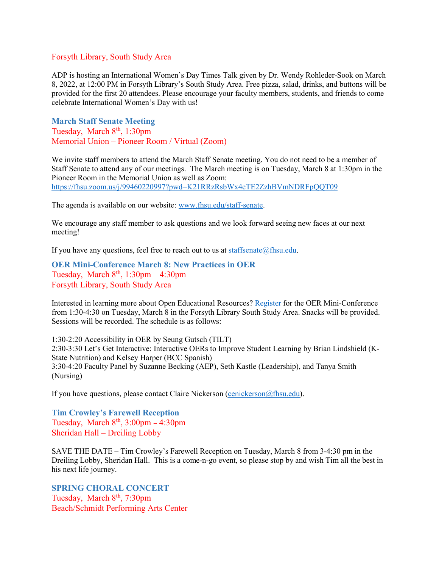### Forsyth Library, South Study Area

ADP is hosting an International Women's Day Times Talk given by Dr. Wendy Rohleder-Sook on March 8, 2022, at 12:00 PM in Forsyth Library's South Study Area. Free pizza, salad, drinks, and buttons will be provided for the first 20 attendees. Please encourage your faculty members, students, and friends to come celebrate International Women's Day with us!

<span id="page-12-0"></span>**March Staff Senate Meeting** Tuesday, March  $8<sup>th</sup>$ , 1:30pm Memorial Union – Pioneer Room / Virtual (Zoom)

We invite staff members to attend the March Staff Senate meeting. You do not need to be a member of Staff Senate to attend any of our meetings. The March meeting is on Tuesday, March 8 at 1:30pm in the Pioneer Room in the Memorial Union as well as Zoom: <https://fhsu.zoom.us/j/99460220997?pwd=K21RRzRsbWx4cTE2ZzhBVmNDRFpQQT09>

The agenda is available on our website: [www.fhsu.edu/staff-senate.](http://www.fhsu.edu/staff-senate)

We encourage any staff member to ask questions and we look forward seeing new faces at our next meeting!

If you have any questions, feel free to reach out to us at  $\text{staffsenate}(\widehat{\omega}$ fhsu.edu.

<span id="page-12-1"></span>**OER Mini-Conference March 8: New Practices in OER** Tuesday, March  $8<sup>th</sup>$ , 1:30pm – 4:30pm Forsyth Library, South Study Area

Interested in learning more about Open Educational Resources? [Register f](https://forms.gle/dgttnXc2XQVVjLAy6)or the OER Mini-Conference from 1:30-4:30 on Tuesday, March 8 in the Forsyth Library South Study Area. Snacks will be provided. Sessions will be recorded. The schedule is as follows:

1:30-2:20 Accessibility in OER by Seung Gutsch (TILT) 2:30-3:30 Let's Get Interactive: Interactive OERs to Improve Student Learning by Brian Lindshield (K-State Nutrition) and Kelsey Harper (BCC Spanish) 3:30-4:20 Faculty Panel by Suzanne Becking (AEP), Seth Kastle (Leadership), and Tanya Smith (Nursing)

If you have questions, please contact Claire Nickerson [\(cenickerson@fhsu.edu\)](mailto:cenickerson@fhsu.edu).

<span id="page-12-2"></span>**Tim Crowley's Farewell Reception**  Tuesday, March  $8<sup>th</sup>$ , 3:00pm – 4:30pm Sheridan Hall – Dreiling Lobby

SAVE THE DATE – Tim Crowley's Farewell Reception on Tuesday, March 8 from 3-4:30 pm in the Dreiling Lobby, Sheridan Hall. This is a come-n-go event, so please stop by and wish Tim all the best in his next life journey.

<span id="page-12-3"></span>**SPRING CHORAL CONCERT**  Tuesday, March  $8<sup>th</sup>$ , 7:30pm Beach/Schmidt Performing Arts Center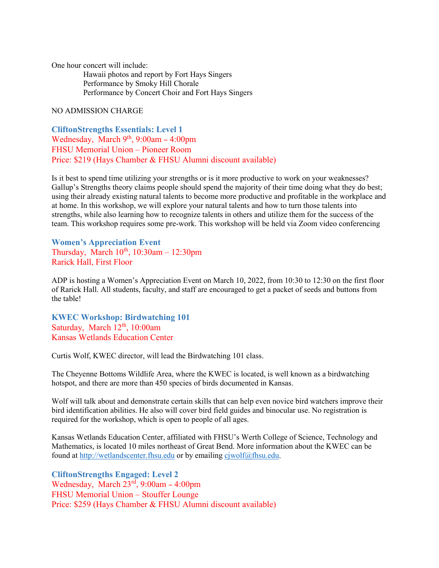One hour concert will include: Hawaii photos and report by Fort Hays Singers Performance by Smoky Hill Chorale Performance by Concert Choir and Fort Hays Singers

NO ADMISSION CHARGE

<span id="page-13-0"></span>**CliftonStrengths Essentials: Level 1**  Wednesday, March  $9<sup>th</sup>$ , 9:00am – 4:00pm FHSU Memorial Union – Pioneer Room Price: \$219 (Hays Chamber & FHSU Alumni discount available)

Is it best to spend time utilizing your strengths or is it more productive to work on your weaknesses? Gallup's Strengths theory claims people should spend the majority of their time doing what they do best; using their already existing natural talents to become more productive and profitable in the workplace and at home. In this workshop, we will explore your natural talents and how to turn those talents into strengths, while also learning how to recognize talents in others and utilize them for the success of the team. This workshop requires some pre-work. This workshop will be held via Zoom video conferencing

<span id="page-13-1"></span>**Women's Appreciation Event** Thursday, March  $10^{th}$ ,  $10:30$ am –  $12:30$ pm Rarick Hall, First Floor

ADP is hosting a Women's Appreciation Event on March 10, 2022, from 10:30 to 12:30 on the first floor of Rarick Hall. All students, faculty, and staff are encouraged to get a packet of seeds and buttons from the table!

<span id="page-13-2"></span>**KWEC Workshop: Birdwatching 101** Saturday, March  $12<sup>th</sup>$ , 10:00am Kansas Wetlands Education Center

Curtis Wolf, KWEC director, will lead the Birdwatching 101 class.

The Cheyenne Bottoms Wildlife Area, where the KWEC is located, is well known as a birdwatching hotspot, and there are more than 450 species of birds documented in Kansas.

Wolf will talk about and demonstrate certain skills that can help even novice bird watchers improve their bird identification abilities. He also will cover bird field guides and binocular use. No registration is required for the workshop, which is open to people of all ages.

Kansas Wetlands Education Center, affiliated with FHSU's Werth College of Science, Technology and Mathematics, is located 10 miles northeast of Great Bend. More information about the KWEC can be found at [http://wetlandscenter.fhsu.edu](http://wetlandscenter.fhsu.edu/) or by emailing [cjwolf@fhsu.edu.](mailto:cjwolf@fhsu.edu)

<span id="page-13-3"></span>**CliftonStrengths Engaged: Level 2** Wednesday, March 23rd, 9:00am – 4:00pm FHSU Memorial Union – Stouffer Lounge Price: \$259 (Hays Chamber & FHSU Alumni discount available)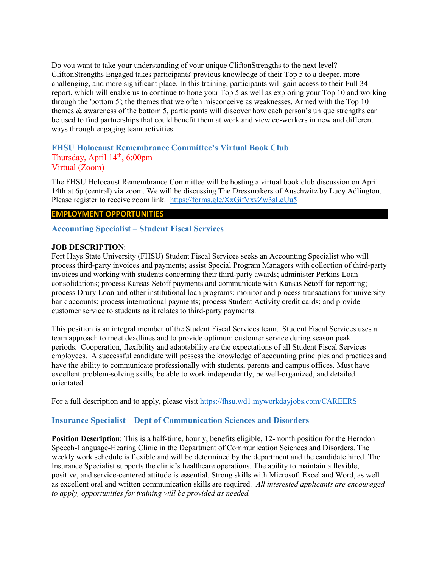Do you want to take your understanding of your unique CliftonStrengths to the next level? CliftonStrengths Engaged takes participants' previous knowledge of their Top 5 to a deeper, more challenging, and more significant place. In this training, participants will gain access to their Full 34 report, which will enable us to continue to hone your Top 5 as well as exploring your Top 10 and working through the 'bottom 5'; the themes that we often misconceive as weaknesses. Armed with the Top 10 themes & awareness of the bottom 5, participants will discover how each person's unique strengths can be used to find partnerships that could benefit them at work and view co-workers in new and different ways through engaging team activities.

# <span id="page-14-0"></span>**FHSU Holocaust Remembrance Committee's Virtual Book Club** Thursday, April  $14<sup>th</sup>$ , 6:00pm Virtual (Zoom)

The FHSU Holocaust Remembrance Committee will be hosting a virtual book club discussion on April 14th at 6p (central) via zoom. We will be discussing The Dressmakers of Auschwitz by Lucy Adlington. Please register to receive zoom link: <https://forms.gle/XxGifVxvZw3sLcUu5>

#### **EMPLOYMENT OPPORTUNITIES**

### <span id="page-14-1"></span>**Accounting Specialist – Student Fiscal Services**

#### **JOB DESCRIPTION**:

Fort Hays State University (FHSU) Student Fiscal Services seeks an Accounting Specialist who will process third-party invoices and payments; assist Special Program Managers with collection of third-party invoices and working with students concerning their third-party awards; administer Perkins Loan consolidations; process Kansas Setoff payments and communicate with Kansas Setoff for reporting; process Drury Loan and other institutional loan programs; monitor and process transactions for university bank accounts; process international payments; process Student Activity credit cards; and provide customer service to students as it relates to third-party payments.

This position is an integral member of the Student Fiscal Services team. Student Fiscal Services uses a team approach to meet deadlines and to provide optimum customer service during season peak periods. Cooperation, flexibility and adaptability are the expectations of all Student Fiscal Services employees. A successful candidate will possess the knowledge of accounting principles and practices and have the ability to communicate professionally with students, parents and campus offices. Must have excellent problem-solving skills, be able to work independently, be well-organized, and detailed orientated.

For a full description and to apply, please visit<https://fhsu.wd1.myworkdayjobs.com/CAREERS>

### <span id="page-14-2"></span>**Insurance Specialist – Dept of Communication Sciences and Disorders**

**Position Description**: This is a half-time, hourly, benefits eligible, 12-month position for the Herndon Speech-Language-Hearing Clinic in the Department of Communication Sciences and Disorders. The weekly work schedule is flexible and will be determined by the department and the candidate hired. The Insurance Specialist supports the clinic's healthcare operations. The ability to maintain a flexible, positive, and service-centered attitude is essential. Strong skills with Microsoft Excel and Word, as well as excellent oral and written communication skills are required. *All interested applicants are encouraged to apply, opportunities for training will be provided as needed.*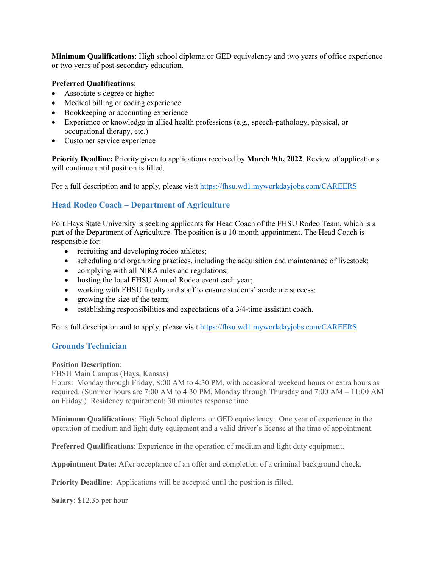**Minimum Qualifications**: High school diploma or GED equivalency and two years of office experience or two years of post-secondary education.

### **Preferred Qualifications**:

- Associate's degree or higher
- Medical billing or coding experience
- Bookkeeping or accounting experience
- Experience or knowledge in allied health professions (e.g., speech-pathology, physical, or occupational therapy, etc.)
- Customer service experience

**Priority Deadline:** Priority given to applications received by **March 9th, 2022**. Review of applications will continue until position is filled.

For a full description and to apply, please visit<https://fhsu.wd1.myworkdayjobs.com/CAREERS>

# <span id="page-15-0"></span>**Head Rodeo Coach – Department of Agriculture**

Fort Hays State University is seeking applicants for Head Coach of the FHSU Rodeo Team, which is a part of the Department of Agriculture. The position is a 10-month appointment. The Head Coach is responsible for:

- recruiting and developing rodeo athletes;
- scheduling and organizing practices, including the acquisition and maintenance of livestock;
- complying with all NIRA rules and regulations;
- hosting the local FHSU Annual Rodeo event each year;
- working with FHSU faculty and staff to ensure students' academic success;
- growing the size of the team;
- establishing responsibilities and expectations of a 3/4-time assistant coach.

For a full description and to apply, please visit<https://fhsu.wd1.myworkdayjobs.com/CAREERS>

# <span id="page-15-1"></span>**Grounds Technician**

### **Position Description**:

FHSU Main Campus (Hays, Kansas)

Hours: Monday through Friday, 8:00 AM to 4:30 PM, with occasional weekend hours or extra hours as required. (Summer hours are 7:00 AM to 4:30 PM, Monday through Thursday and 7:00 AM – 11:00 AM on Friday.) Residency requirement: 30 minutes response time.

**Minimum Qualifications**: High School diploma or GED equivalency. One year of experience in the operation of medium and light duty equipment and a valid driver's license at the time of appointment.

**Preferred Qualifications**: Experience in the operation of medium and light duty equipment.

**Appointment Date:** After acceptance of an offer and completion of a criminal background check.

**Priority Deadline:** Applications will be accepted until the position is filled.

**Salary**: \$12.35 per hour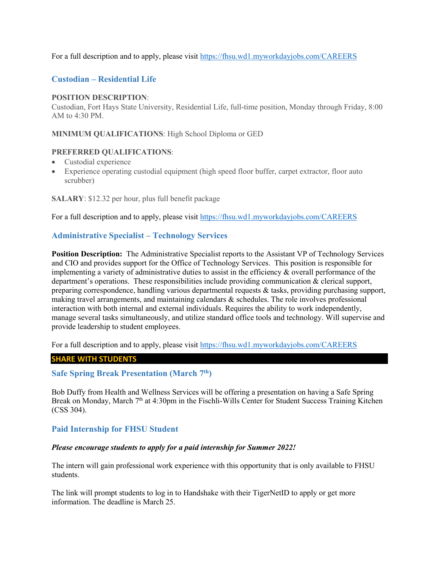# For a full description and to apply, please visit<https://fhsu.wd1.myworkdayjobs.com/CAREERS>

# <span id="page-16-0"></span>**Custodian – Residential Life**

### **POSITION DESCRIPTION**:

Custodian, Fort Hays State University, Residential Life, full-time position, Monday through Friday, 8:00 AM to 4:30 PM.

### **MINIMUM QUALIFICATIONS**: High School Diploma or GED

### **PREFERRED QUALIFICATIONS**:

- Custodial experience
- Experience operating custodial equipment (high speed floor buffer, carpet extractor, floor auto scrubber)

**SALARY**: \$12.32 per hour, plus full benefit package

For a full description and to apply, please visit<https://fhsu.wd1.myworkdayjobs.com/CAREERS>

# <span id="page-16-1"></span>**Administrative Specialist – Technology Services**

**Position Description:** The Administrative Specialist reports to the Assistant VP of Technology Services and CIO and provides support for the Office of Technology Services. This position is responsible for implementing a variety of administrative duties to assist in the efficiency & overall performance of the department's operations. These responsibilities include providing communication & clerical support, preparing correspondence, handling various departmental requests & tasks, providing purchasing support, making travel arrangements, and maintaining calendars & schedules. The role involves professional interaction with both internal and external individuals. Requires the ability to work independently, manage several tasks simultaneously, and utilize standard office tools and technology. Will supervise and provide leadership to student employees.

For a full description and to apply, please visit<https://fhsu.wd1.myworkdayjobs.com/CAREERS>

### **SHARE WITH STUDENTS**

### <span id="page-16-2"></span>**Safe Spring Break Presentation (March 7th)**

Bob Duffy from Health and Wellness Services will be offering a presentation on having a Safe Spring Break on Monday, March 7<sup>th</sup> at 4:30pm in the Fischli-Wills Center for Student Success Training Kitchen (CSS 304).

### <span id="page-16-3"></span>**Paid Internship for FHSU Student**

#### *Please encourage students to apply for a paid internship for Summer 2022!*

The intern will gain professional work experience with this opportunity that is only available to FHSU students.

The link will prompt students to log in to Handshake with their TigerNetID to apply or get more information. The deadline is March 25.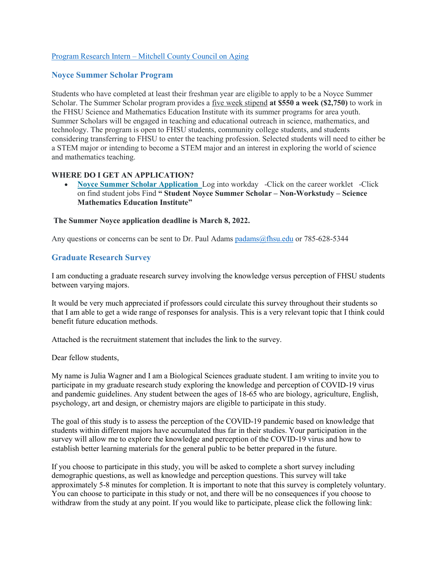### Program Research Intern – [Mitchell County Council on Aging](https://fhsu.joinhandshake.com/jobs/6089280/share_preview)

# <span id="page-17-0"></span>**Noyce Summer Scholar Program**

Students who have completed at least their freshman year are eligible to apply to be a Noyce Summer Scholar. The Summer Scholar program provides a five week stipend **at \$550 a week (\$2,750)** to work in the FHSU Science and Mathematics Education Institute with its summer programs for area youth. Summer Scholars will be engaged in teaching and educational outreach in science, mathematics, and technology. The program is open to FHSU students, community college students, and students considering transferring to FHSU to enter the teaching profession. Selected students will need to either be a STEM major or intending to become a STEM major and an interest in exploring the world of science and mathematics teaching.

# **WHERE DO I GET AN APPLICATION?**

• **[Noyce Summer Scholar Application](https://www.myworkday.com/fhsu/d/inst/15$158872/9925$5106.htmld)** Log into workday -Click on the career worklet -Click on find student jobs Find **" Student Noyce Summer Scholar – Non-Workstudy – Science Mathematics Education Institute"**

#### **The Summer Noyce application deadline is March 8, 2022.**

Any questions or concerns can be sent to Dr. Paul Adams [padams@fhsu.edu](mailto:padams@fhsu.edu) or 785-628-5344

# <span id="page-17-1"></span>**Graduate Research Survey**

I am conducting a graduate research survey involving the knowledge versus perception of FHSU students between varying majors.

It would be very much appreciated if professors could circulate this survey throughout their students so that I am able to get a wide range of responses for analysis. This is a very relevant topic that I think could benefit future education methods.

Attached is the recruitment statement that includes the link to the survey.

Dear fellow students,

My name is Julia Wagner and I am a Biological Sciences graduate student. I am writing to invite you to participate in my graduate research study exploring the knowledge and perception of COVID-19 virus and pandemic guidelines. Any student between the ages of 18-65 who are biology, agriculture, English, psychology, art and design, or chemistry majors are eligible to participate in this study.

The goal of this study is to assess the perception of the COVID-19 pandemic based on knowledge that students within different majors have accumulated thus far in their studies. Your participation in the survey will allow me to explore the knowledge and perception of the COVID-19 virus and how to establish better learning materials for the general public to be better prepared in the future.

If you choose to participate in this study, you will be asked to complete a short survey including demographic questions, as well as knowledge and perception questions. This survey will take approximately 5-8 minutes for completion. It is important to note that this survey is completely voluntary. You can choose to participate in this study or not, and there will be no consequences if you choose to withdraw from the study at any point. If you would like to participate, please click the following link: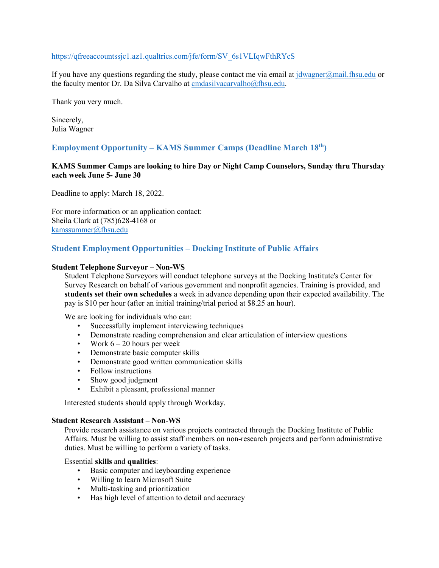### [https://qfreeaccountssjc1.az1.qualtrics.com/jfe/form/SV\\_6s1VLIqwFthRYcS](https://qfreeaccountssjc1.az1.qualtrics.com/jfe/form/SV_6s1VLIqwFthRYcS)

If you have any questions regarding the study, please contact me via email at  $j$ dwagner@mail.fhsu.edu or the faculty mentor Dr. Da Silva Carvalho at [cmdasilvacarvalho@fhsu.edu.](mailto:cmdasilvacarvalho@fhsu.edu)

Thank you very much.

Sincerely, Julia Wagner

# <span id="page-18-0"></span>**Employment Opportunity – KAMS Summer Camps (Deadline March 18th)**

### **KAMS Summer Camps are looking to hire Day or Night Camp Counselors, Sunday thru Thursday each week June 5- June 30**

Deadline to apply: March 18, 2022.

For more information or an application contact: Sheila Clark at (785)628-4168 or [kamssummer@fhsu.edu](mailto:kamssummer@fhsu.edu)

# <span id="page-18-1"></span>**Student Employment Opportunities – Docking Institute of Public Affairs**

#### **Student Telephone Surveyor – Non-WS**

Student Telephone Surveyors will conduct telephone surveys at the Docking Institute's Center for Survey Research on behalf of various government and nonprofit agencies. Training is provided, and **students set their own schedules** a week in advance depending upon their expected availability. The pay is \$10 per hour (after an initial training/trial period at \$8.25 an hour).

We are looking for individuals who can:

- Successfully implement interviewing techniques
- Demonstrate reading comprehension and clear articulation of interview questions
- Work  $6 20$  hours per week
- Demonstrate basic computer skills
- Demonstrate good written communication skills
- Follow instructions
- Show good judgment
- Exhibit a pleasant, professional manner

Interested students should apply through Workday.

#### **Student Research Assistant – Non-WS**

Provide research assistance on various projects contracted through the Docking Institute of Public Affairs. Must be willing to assist staff members on non-research projects and perform administrative duties. Must be willing to perform a variety of tasks.

#### Essential **skills** and **qualities**:

- Basic computer and keyboarding experience
- Willing to learn Microsoft Suite
- Multi-tasking and prioritization
- Has high level of attention to detail and accuracy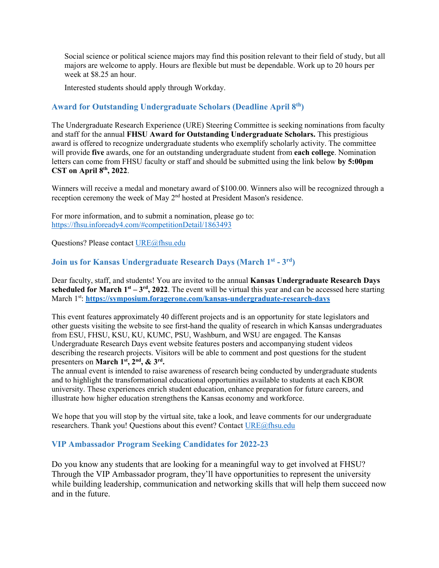Social science or political science majors may find this position relevant to their field of study, but all majors are welcome to apply. Hours are flexible but must be dependable. Work up to 20 hours per week at \$8.25 an hour.

Interested students should apply through Workday.

# <span id="page-19-0"></span>**Award for Outstanding Undergraduate Scholars (Deadline April 8th)**

The Undergraduate Research Experience (URE) Steering Committee is seeking nominations from faculty and staff for the annual **FHSU Award for Outstanding Undergraduate Scholars.** This prestigious award is offered to recognize undergraduate students who exemplify scholarly activity. The committee will provide **five** awards, one for an outstanding undergraduate student from **each college**. Nomination letters can come from FHSU faculty or staff and should be submitted using the link below **by 5:00pm CST on April 8th, 2022**.

Winners will receive a medal and monetary award of \$100.00. Winners also will be recognized through a reception ceremony the week of May 2nd hosted at President Mason's residence.

For more information, and to submit a nomination, please go to: <https://fhsu.infoready4.com/#competitionDetail/1863493>

Questions? Please contact [URE@fhsu.edu](mailto:URE@fhsu.edu)

# <span id="page-19-1"></span>**Join us for Kansas Undergraduate Research Days (March 1st - 3rd)**

Dear faculty, staff, and students! You are invited to the annual **Kansas Undergraduate Research Days scheduled for March**  $1^{st} - 3^{rd}$ **, 2022.** The event will be virtual this year and can be accessed here starting March 1st: **<https://symposium.foragerone.com/kansas-undergraduate-research-days>**

This event features approximately 40 different projects and is an opportunity for state legislators and other guests visiting the website to see first-hand the quality of research in which Kansas undergraduates from ESU, FHSU, KSU, KU, KUMC, PSU, Washburn, and WSU are engaged. The Kansas Undergraduate Research Days event website features posters and accompanying student videos describing the research projects. Visitors will be able to comment and post questions for the student presenters on **March 1st, 2nd, & 3rd.**

The annual event is intended to raise awareness of research being conducted by undergraduate students and to highlight the transformational educational opportunities available to students at each KBOR university. These experiences enrich student education, enhance preparation for future careers, and illustrate how higher education strengthens the Kansas economy and workforce.

We hope that you will stop by the virtual site, take a look, and leave comments for our undergraduate researchers. Thank you! Questions about this event? Contac[t URE@fhsu.edu](mailto:URE@fhsu.edu)

# <span id="page-19-2"></span>**VIP Ambassador Program Seeking Candidates for 2022-23**

Do you know any students that are looking for a meaningful way to get involved at FHSU? Through the VIP Ambassador program, they'll have opportunities to represent the university while building leadership, communication and networking skills that will help them succeed now and in the future.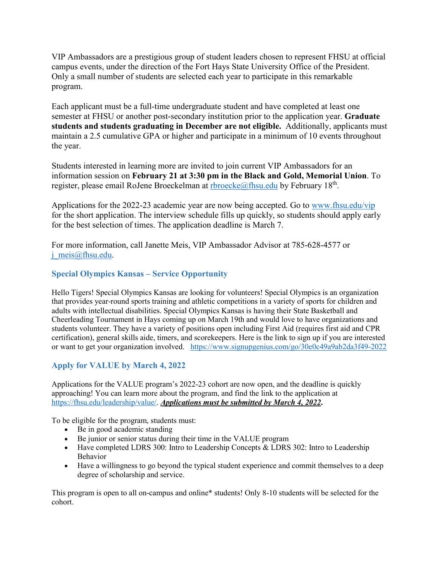VIP Ambassadors are a prestigious group of student leaders chosen to represent FHSU at official campus events, under the direction of the Fort Hays State University Office of the President. Only a small number of students are selected each year to participate in this remarkable program.

Each applicant must be a full-time undergraduate student and have completed at least one semester at FHSU or another post-secondary institution prior to the application year. **Graduate students and students graduating in December are not eligible.** Additionally, applicants must maintain a 2.5 cumulative GPA or higher and participate in a minimum of 10 events throughout the year.

Students interested in learning more are invited to join current VIP Ambassadors for an information session on **February 21 at 3:30 pm in the Black and Gold, Memorial Union**. To register, please email RoJene Broeckelman at  $rbcceke@fhsu.edu$  by February 18<sup>th</sup>.

Applications for the 2022-23 academic year are now being accepted. Go to [www.fhsu.edu/vip](http://www.fhsu.edu/vip) for the short application. The interview schedule fills up quickly, so students should apply early for the best selection of times. The application deadline is March 7.

For more information, call Janette Meis, VIP Ambassador Advisor at 785-628-4577 or [j\\_meis@fhsu.edu.](mailto:j_meis@fhsu.edu)

# <span id="page-20-0"></span>**Special Olympics Kansas – Service Opportunity**

Hello Tigers! Special Olympics Kansas are looking for volunteers! Special Olympics is an organization that provides year-round sports training and athletic competitions in a variety of sports for children and adults with intellectual disabilities. Special Olympics Kansas is having their State Basketball and Cheerleading Tournament in Hays coming up on March 19th and would love to have organizations and students volunteer. They have a variety of positions open including First Aid (requires first aid and CPR certification), general skills aide, timers, and scorekeepers. Here is the link to sign up if you are interested or want to get your organization involved. <https://www.signupgenius.com/go/30e0c49a9ab2da3f49-2022>

# <span id="page-20-1"></span>**Apply for VALUE by March 4, 2022**

Applications for the VALUE program's 2022-23 cohort are now open, and the deadline is quickly approaching! You can learn more about the program, and find the link to the application at [https://fhsu.edu/leadership/value/.](https://fhsu.edu/leadership/value/) *Applications must be submitted by March 4, 2022***.**

To be eligible for the program, students must:

- Be in good academic standing
- Be junior or senior status during their time in the VALUE program
- Have completed LDRS 300: Intro to Leadership Concepts & LDRS 302: Intro to Leadership Behavior
- Have a willingness to go beyond the typical student experience and commit themselves to a deep degree of scholarship and service.

This program is open to all on-campus and online\* students! Only 8-10 students will be selected for the cohort.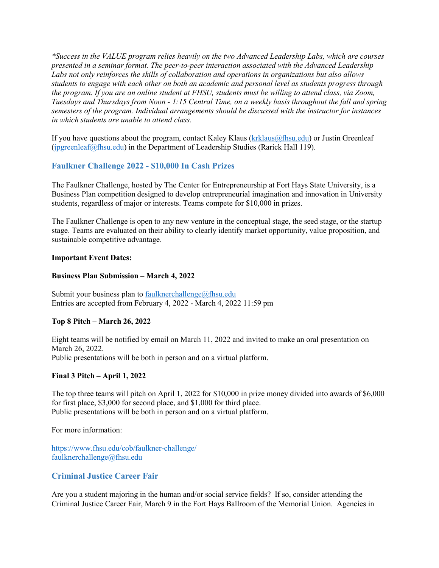*\*Success in the VALUE program relies heavily on the two Advanced Leadership Labs, which are courses presented in a seminar format. The peer-to-peer interaction associated with the Advanced Leadership Labs not only reinforces the skills of collaboration and operations in organizations but also allows students to engage with each other on both an academic and personal level as students progress through the program. If you are an online student at FHSU, students must be willing to attend class, via Zoom, Tuesdays and Thursdays from Noon - 1:15 Central Time, on a weekly basis throughout the fall and spring semesters of the program. Individual arrangements should be discussed with the instructor for instances in which students are unable to attend class.*

If you have questions about the program, contact Kaley Klaus [\(krklaus@fhsu.edu\)](mailto:krklaus@fhsu.edu) or Justin Greenleaf [\(jpgreenleaf@fhsu.edu\)](mailto:jpgreenleaf@fhsu.edu) in the Department of Leadership Studies (Rarick Hall 119).

# <span id="page-21-0"></span>**Faulkner Challenge 2022 - \$10,000 In Cash Prizes**

The Faulkner Challenge, hosted by The Center for Entrepreneurship at Fort Hays State University, is a Business Plan competition designed to develop entrepreneurial imagination and innovation in University students, regardless of major or interests. Teams compete for \$10,000 in prizes.

The Faulkner Challenge is open to any new venture in the conceptual stage, the seed stage, or the startup stage. Teams are evaluated on their ability to clearly identify market opportunity, value proposition, and sustainable competitive advantage.

### **Important Event Dates:**

### **Business Plan Submission – March 4, 2022**

Submit your business plan to [faulknerchallenge@fhsu.edu](mailto:faulknerchallenge@fhsu.edu) Entries are accepted from February 4, 2022 - March 4, 2022 11:59 pm

### **Top 8 Pitch – March 26, 2022**

Eight teams will be notified by email on March 11, 2022 and invited to make an oral presentation on March 26, 2022. Public presentations will be both in person and on a virtual platform.

### **Final 3 Pitch – April 1, 2022**

The top three teams will pitch on April 1, 2022 for \$10,000 in prize money divided into awards of \$6,000 for first place, \$3,000 for second place, and \$1,000 for third place. Public presentations will be both in person and on a virtual platform.

For more information:

<https://www.fhsu.edu/cob/faulkner-challenge/> [faulknerchallenge@fhsu.edu](mailto:faulknerchallenge@fhsu.edu)

# <span id="page-21-1"></span>**Criminal Justice Career Fair**

Are you a student majoring in the human and/or social service fields? If so, consider attending the Criminal Justice Career Fair, March 9 in the Fort Hays Ballroom of the Memorial Union. Agencies in